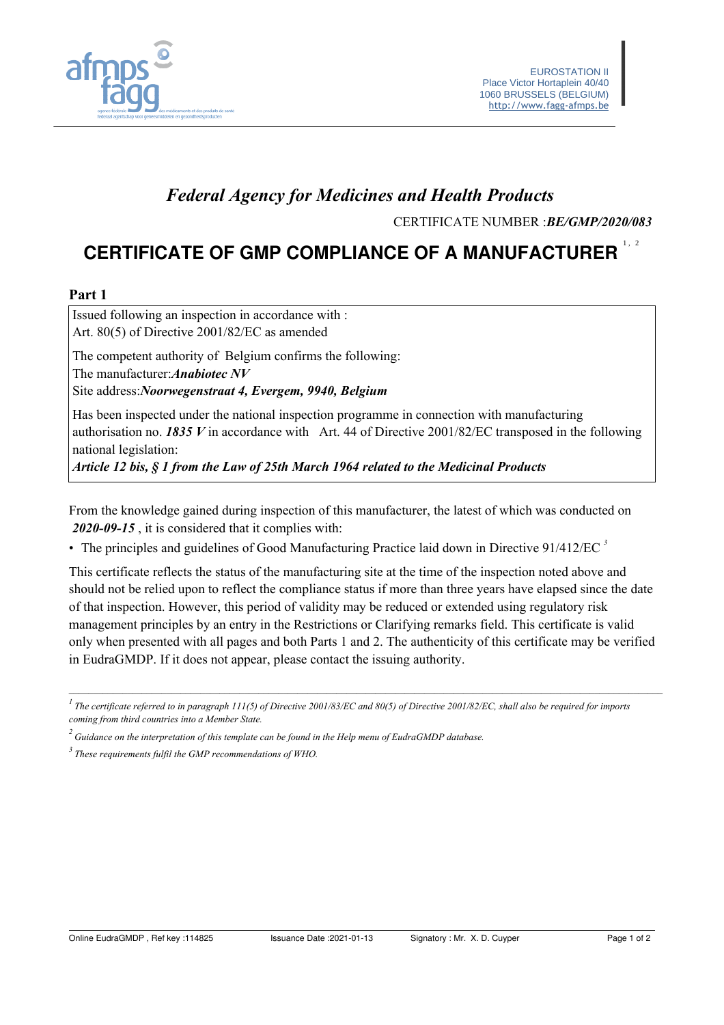

## **Federal Agency for Medicines and Health Products**

CERTIFICATE NUMBER : BE/GMP/2020/083

# **CERTIFICATE OF GMP COMPLIANCE OF A MANUFACTURER**

#### Part 1

Issued following an inspection in accordance with : Art. 80(5) of Directive 2001/82/EC as amended

The competent authority of Belgium confirms the following:

The manufacturer: Anabiotec NV

Site address: Noorwegenstraat 4, Evergem, 9940, Belgium

Has been inspected under the national inspection programme in connection with manufacturing authorisation no. 1835 V in accordance with Art. 44 of Directive 2001/82/EC transposed in the following national legislation:

Article 12 bis, § 1 from the Law of 25th March 1964 related to the Medicinal Products

From the knowledge gained during inspection of this manufacturer, the latest of which was conducted on 2020-09-15, it is considered that it complies with:

• The principles and guidelines of Good Manufacturing Practice laid down in Directive  $91/412/EC$ <sup>3</sup>

This certificate reflects the status of the manufacturing site at the time of the inspection noted above and should not be relied upon to reflect the compliance status if more than three years have elapsed since the date of that inspection. However, this period of validity may be reduced or extended using regulatory risk management principles by an entry in the Restrictions or Clarifying remarks field. This certificate is valid only when presented with all pages and both Parts 1 and 2. The authenticity of this certificate may be verified in EudraGMDP. If it does not appear, please contact the issuing authority.

 $\frac{1}{1}$ The certificate referred to in paragraph 111(5) of Directive 2001/83/EC and 80(5) of Directive 2001/82/EC, shall also be required for imports coming from third countries into a Member State.

 $\alpha$ <sup>2</sup> Guidance on the interpretation of this template can be found in the Help menu of EudraGMDP database.

 $3$  These requirements fulfil the GMP recommendations of WHO.